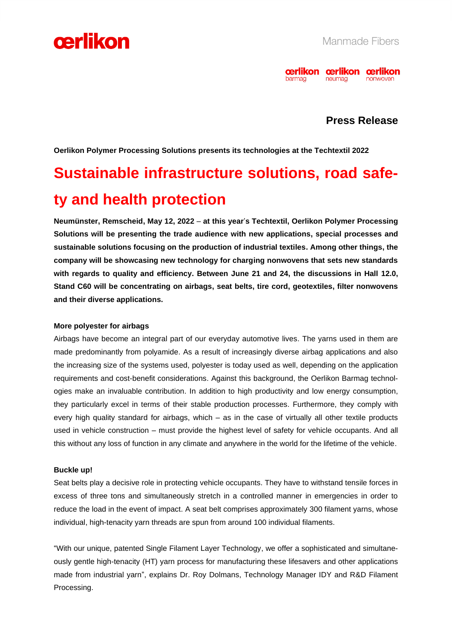



## **Press Release**

**Oerlikon Polymer Processing Solutions presents its technologies at the Techtextil 2022**

# **Sustainable infrastructure solutions, road safety and health protection**

**Neumünster, Remscheid, May 12, 2022** – **at this year**'**s Techtextil, Oerlikon Polymer Processing Solutions will be presenting the trade audience with new applications, special processes and sustainable solutions focusing on the production of industrial textiles. Among other things, the company will be showcasing new technology for charging nonwovens that sets new standards with regards to quality and efficiency. Between June 21 and 24, the discussions in Hall 12.0, Stand C60 will be concentrating on airbags, seat belts, tire cord, geotextiles, filter nonwovens and their diverse applications.** 

### **More polyester for airbags**

Airbags have become an integral part of our everyday automotive lives. The yarns used in them are made predominantly from polyamide. As a result of increasingly diverse airbag applications and also the increasing size of the systems used, polyester is today used as well, depending on the application requirements and cost-benefit considerations. Against this background, the Oerlikon Barmag technologies make an invaluable contribution. In addition to high productivity and low energy consumption, they particularly excel in terms of their stable production processes. Furthermore, they comply with every high quality standard for airbags, which – as in the case of virtually all other textile products used in vehicle construction – must provide the highest level of safety for vehicle occupants. And all this without any loss of function in any climate and anywhere in the world for the lifetime of the vehicle.

### **Buckle up!**

Seat belts play a decisive role in protecting vehicle occupants. They have to withstand tensile forces in excess of three tons and simultaneously stretch in a controlled manner in emergencies in order to reduce the load in the event of impact. A seat belt comprises approximately 300 filament yarns, whose individual, high-tenacity yarn threads are spun from around 100 individual filaments.

"With our unique, patented Single Filament Layer Technology, we offer a sophisticated and simultaneously gentle high-tenacity (HT) yarn process for manufacturing these lifesavers and other applications made from industrial yarn", explains Dr. Roy Dolmans, Technology Manager IDY and R&D Filament Processing.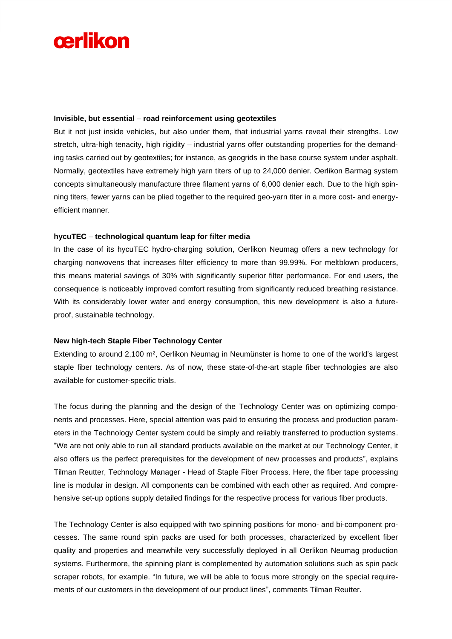# cerlikon

#### **Invisible, but essential** – **road reinforcement using geotextiles**

But it not just inside vehicles, but also under them, that industrial yarns reveal their strengths. Low stretch, ultra-high tenacity, high rigidity – industrial yarns offer outstanding properties for the demanding tasks carried out by geotextiles; for instance, as geogrids in the base course system under asphalt. Normally, geotextiles have extremely high yarn titers of up to 24,000 denier. Oerlikon Barmag system concepts simultaneously manufacture three filament yarns of 6,000 denier each. Due to the high spinning titers, fewer yarns can be plied together to the required geo-yarn titer in a more cost- and energyefficient manner.

### **hycuTEC** – **technological quantum leap for filter media**

In the case of its hycuTEC hydro-charging solution, Oerlikon Neumag offers a new technology for charging nonwovens that increases filter efficiency to more than 99.99%. For meltblown producers, this means material savings of 30% with significantly superior filter performance. For end users, the consequence is noticeably improved comfort resulting from significantly reduced breathing resistance. With its considerably lower water and energy consumption, this new development is also a futureproof, sustainable technology.

### **New high-tech Staple Fiber Technology Center**

Extending to around 2,100 m<sup>2</sup>, Oerlikon Neumag in Neumünster is home to one of the world's largest staple fiber technology centers. As of now, these state-of-the-art staple fiber technologies are also available for customer-specific trials.

The focus during the planning and the design of the Technology Center was on optimizing components and processes. Here, special attention was paid to ensuring the process and production parameters in the Technology Center system could be simply and reliably transferred to production systems. "We are not only able to run all standard products available on the market at our Technology Center, it also offers us the perfect prerequisites for the development of new processes and products", explains Tilman Reutter, Technology Manager - Head of Staple Fiber Process. Here, the fiber tape processing line is modular in design. All components can be combined with each other as required. And comprehensive set-up options supply detailed findings for the respective process for various fiber products.

The Technology Center is also equipped with two spinning positions for mono- and bi-component processes. The same round spin packs are used for both processes, characterized by excellent fiber quality and properties and meanwhile very successfully deployed in all Oerlikon Neumag production systems. Furthermore, the spinning plant is complemented by automation solutions such as spin pack scraper robots, for example. "In future, we will be able to focus more strongly on the special requirements of our customers in the development of our product lines", comments Tilman Reutter.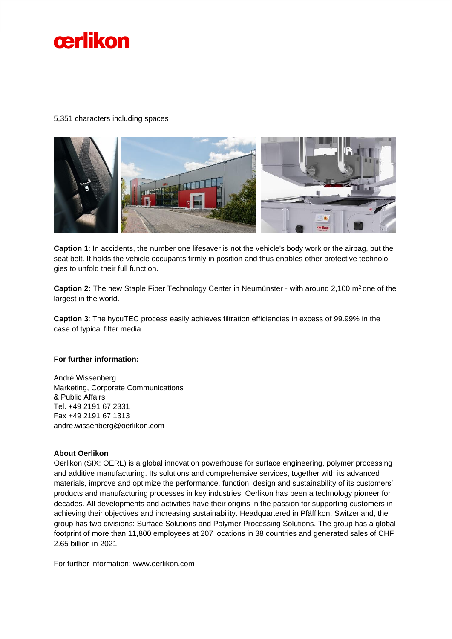

#### 5,351 characters including spaces



**Caption 1**: In accidents, the number one lifesaver is not the vehicle's body work or the airbag, but the seat belt. It holds the vehicle occupants firmly in position and thus enables other protective technologies to unfold their full function.

**Caption 2:** The new Staple Fiber Technology Center in Neumünster - with around 2,100 m<sup>2</sup> one of the largest in the world.

**Caption 3**: The hycuTEC process easily achieves filtration efficiencies in excess of 99.99% in the case of typical filter media.

#### **For further information:**

André Wissenberg Marketing, Corporate Communications & Public Affairs Tel. +49 2191 67 2331 Fax +49 2191 67 1313 andre.wissenberg@oerlikon.com

#### **About Oerlikon**

Oerlikon (SIX: OERL) is a global innovation powerhouse for surface engineering, polymer processing and additive manufacturing. Its solutions and comprehensive services, together with its advanced materials, improve and optimize the performance, function, design and sustainability of its customers' products and manufacturing processes in key industries. Oerlikon has been a technology pioneer for decades. All developments and activities have their origins in the passion for supporting customers in achieving their objectives and increasing sustainability. Headquartered in Pfäffikon, Switzerland, the group has two divisions: Surface Solutions and Polymer Processing Solutions. The group has a global footprint of more than 11,800 employees at 207 locations in 38 countries and generated sales of CHF 2.65 billion in 2021.

For further information: www.oerlikon.com